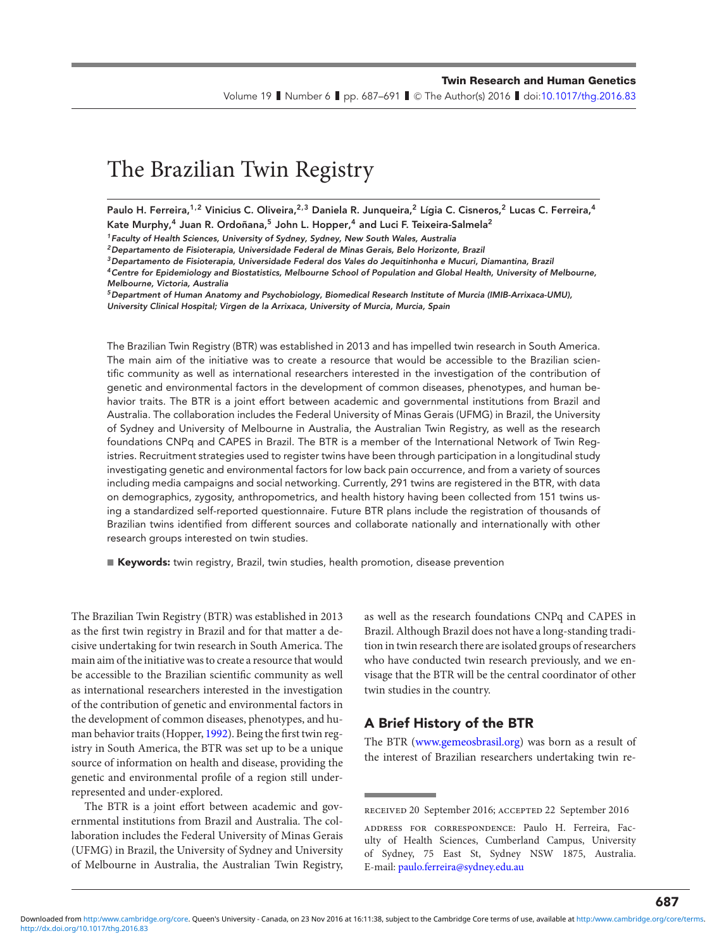#### **Twin Research and Human Genetics**

Volume 19  $\;$  Number 6  $\;$  pp. 687–691  $\;$  C The Author(s) 2016  $\;$  doi[:10.1017/thg.2016.83](https://doi.org/10.1017/thg.2016.83)

# The Brazilian Twin Registry

**Paulo H. Ferreira,1,2 Vinicius C. Oliveira,2,3 Daniela R. Junqueira,<sup>2</sup> Lígia C. Cisneros,<sup>2</sup> Lucas C. Ferreira,<sup>4</sup> Kate Murphy,<sup>4</sup> Juan R. Ordoñana,5 John L. Hopper,<sup>4</sup> and Luci F. Teixeira-Salmela2**

*1Faculty of Health Sciences, University of Sydney, Sydney, New South Wales, Australia*

*3Departamento de Fisioterapia, Universidade Federal dos Vales do Jequitinhonha e Mucuri, Diamantina, Brazil*

*5Department of Human Anatomy and Psychobiology, Biomedical Research Institute of Murcia (IMIB-Arrixaca-UMU), University Clinical Hospital; Virgen de la Arrixaca, University of Murcia, Murcia, Spain*

The Brazilian Twin Registry (BTR) was established in 2013 and has impelled twin research in South America. The main aim of the initiative was to create a resource that would be accessible to the Brazilian scientific community as well as international researchers interested in the investigation of the contribution of genetic and environmental factors in the development of common diseases, phenotypes, and human behavior traits. The BTR is a joint effort between academic and governmental institutions from Brazil and Australia. The collaboration includes the Federal University of Minas Gerais (UFMG) in Brazil, the University of Sydney and University of Melbourne in Australia, the Australian Twin Registry, as well as the research foundations CNPq and CAPES in Brazil. The BTR is a member of the International Network of Twin Registries. Recruitment strategies used to register twins have been through participation in a longitudinal study investigating genetic and environmental factors for low back pain occurrence, and from a variety of sources including media campaigns and social networking. Currently, 291 twins are registered in the BTR, with data on demographics, zygosity, anthropometrics, and health history having been collected from 151 twins using a standardized self-reported questionnaire. Future BTR plans include the registration of thousands of Brazilian twins identified from different sources and collaborate nationally and internationally with other research groups interested on twin studies.

**■ Keywords:** twin registry, Brazil, twin studies, health promotion, disease prevention

The Brazilian Twin Registry (BTR) was established in 2013 as the first twin registry in Brazil and for that matter a decisive undertaking for twin research in South America. The main aim of the initiative was to create a resource that would be accessible to the Brazilian scientific community as well as international researchers interested in the investigation of the contribution of genetic and environmental factors in the development of common diseases, phenotypes, and human behavior traits (Hopper, [1992\)](#page-4-0). Being the first twin registry in South America, the BTR was set up to be a unique source of information on health and disease, providing the genetic and environmental profile of a region still underrepresented and under-explored.

The BTR is a joint effort between academic and governmental institutions from Brazil and Australia. The collaboration includes the Federal University of Minas Gerais (UFMG) in Brazil, the University of Sydney and University of Melbourne in Australia, the Australian Twin Registry, as well as the research foundations CNPq and CAPES in Brazil. Although Brazil does not have a long-standing tradition in twin research there are isolated groups of researchers who have conducted twin research previously, and we envisage that the BTR will be the central coordinator of other twin studies in the country.

### **A Brief History of the BTR**

The BTR [\(www.gemeosbrasil.org\)](http://www.gemeosbrasil.org) was born as a result of the interest of Brazilian researchers undertaking twin re-

*<sup>2</sup>Departamento de Fisioterapia, Universidade Federal de Minas Gerais, Belo Horizonte, Brazil*

*<sup>4</sup>Centre for Epidemiology and Biostatistics, Melbourne School of Population and Global Health, University of Melbourne, Melbourne, Victoria, Australia*

received 20 September 2016; accepted 22 September 2016

address for correspondence: Paulo H. Ferreira, Faculty of Health Sciences, Cumberland Campus, University of Sydney, 75 East St, Sydney NSW 1875, Australia. E-mail: [paulo.ferreira@sydney.edu.au](mailto:paulo.ferreira@sydney.edu.au)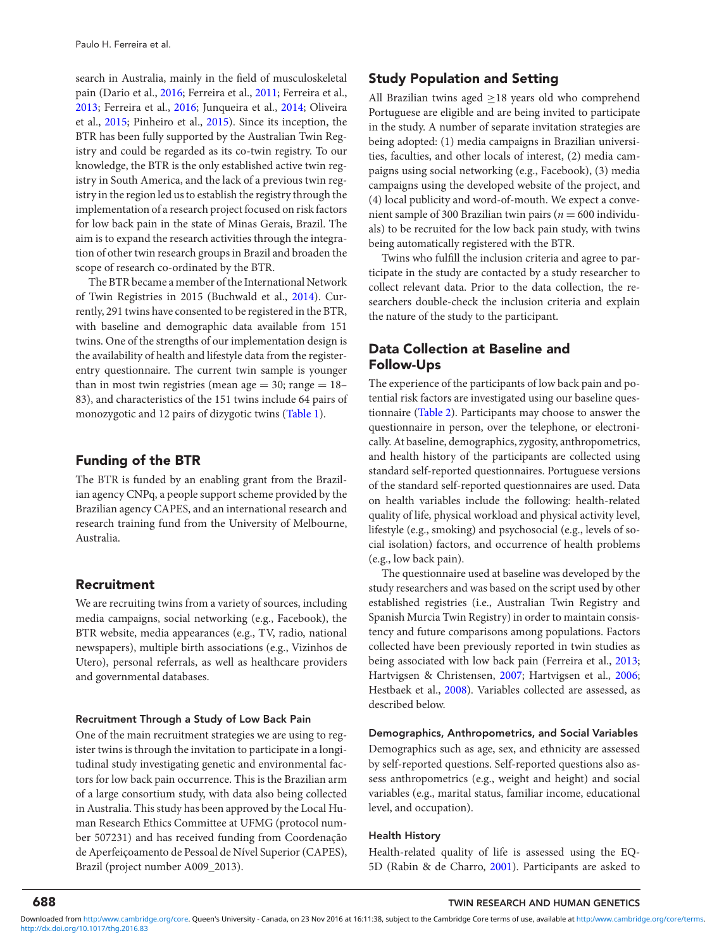search in Australia, mainly in the field of musculoskeletal pain (Dario et al., [2016;](#page-4-0) Ferreira et al., [2011;](#page-4-0) Ferreira et al., [2013;](#page-4-0) Ferreira et al., [2016;](#page-4-0) Junqueira et al., [2014;](#page-4-0) Oliveira et al., [2015;](#page-4-0) Pinheiro et al., [2015\)](#page-4-0). Since its inception, the BTR has been fully supported by the Australian Twin Registry and could be regarded as its co-twin registry. To our knowledge, the BTR is the only established active twin registry in South America, and the lack of a previous twin registry in the region led us to establish the registry through the implementation of a research project focused on risk factors for low back pain in the state of Minas Gerais, Brazil. The aim is to expand the research activities through the integration of other twin research groups in Brazil and broaden the scope of research co-ordinated by the BTR.

The BTR became a member of the International Network of Twin Registries in 2015 (Buchwald et al., [2014\)](#page-4-0). Currently, 291 twins have consented to be registered in the BTR, with baseline and demographic data available from 151 twins. One of the strengths of our implementation design is the availability of health and lifestyle data from the registerentry questionnaire. The current twin sample is younger than in most twin registries (mean age  $= 30$ ; range  $= 18$ – 83), and characteristics of the 151 twins include 64 pairs of monozygotic and 12 pairs of dizygotic twins [\(Table 1\)](#page-2-0).

## **Funding of the BTR**

The BTR is funded by an enabling grant from the Brazilian agency CNPq, a people support scheme provided by the Brazilian agency CAPES, and an international research and research training fund from the University of Melbourne, Australia.

## **Recruitment**

We are recruiting twins from a variety of sources, including media campaigns, social networking (e.g., Facebook), the BTR website, media appearances (e.g., TV, radio, national newspapers), multiple birth associations (e.g., Vizinhos de Utero), personal referrals, as well as healthcare providers and governmental databases.

#### **Recruitment Through a Study of Low Back Pain**

One of the main recruitment strategies we are using to register twins is through the invitation to participate in a longitudinal study investigating genetic and environmental factors for low back pain occurrence. This is the Brazilian arm of a large consortium study, with data also being collected in Australia. This study has been approved by the Local Human Research Ethics Committee at UFMG (protocol number 507231) and has received funding from Coordenação de Aperfeiçoamento de Pessoal de Nível Superior (CAPES), Brazil (project number A009\_2013).

# **Study Population and Setting**

All Brazilian twins aged ≥18 years old who comprehend Portuguese are eligible and are being invited to participate in the study. A number of separate invitation strategies are being adopted: (1) media campaigns in Brazilian universities, faculties, and other locals of interest, (2) media campaigns using social networking (e.g., Facebook), (3) media campaigns using the developed website of the project, and (4) local publicity and word-of-mouth. We expect a convenient sample of 300 Brazilian twin pairs ( $n = 600$  individuals) to be recruited for the low back pain study, with twins being automatically registered with the BTR.

Twins who fulfill the inclusion criteria and agree to participate in the study are contacted by a study researcher to collect relevant data. Prior to the data collection, the researchers double-check the inclusion criteria and explain the nature of the study to the participant.

# **Data Collection at Baseline and Follow-Ups**

The experience of the participants of low back pain and potential risk factors are investigated using our baseline questionnaire [\(Table 2\)](#page-3-0). Participants may choose to answer the questionnaire in person, over the telephone, or electronically. At baseline, demographics, zygosity, anthropometrics, and health history of the participants are collected using standard self-reported questionnaires. Portuguese versions of the standard self-reported questionnaires are used. Data on health variables include the following: health-related quality of life, physical workload and physical activity level, lifestyle (e.g., smoking) and psychosocial (e.g., levels of social isolation) factors, and occurrence of health problems (e.g., low back pain).

The questionnaire used at baseline was developed by the study researchers and was based on the script used by other established registries (i.e., Australian Twin Registry and Spanish Murcia Twin Registry) in order to maintain consistency and future comparisons among populations. Factors collected have been previously reported in twin studies as being associated with low back pain (Ferreira et al., [2013;](#page-4-0) Hartvigsen & Christensen, [2007;](#page-4-0) Hartvigsen et al., [2006;](#page-4-0) Hestbaek et al., [2008\)](#page-4-0). Variables collected are assessed, as described below.

#### **Demographics, Anthropometrics, and Social Variables**

Demographics such as age, sex, and ethnicity are assessed by self-reported questions. Self-reported questions also assess anthropometrics (e.g., weight and height) and social variables (e.g., marital status, familiar income, educational level, and occupation).

#### **Health History**

Health-related quality of life is assessed using the EQ-5D (Rabin & de Charro, [2001\)](#page-4-0). Participants are asked to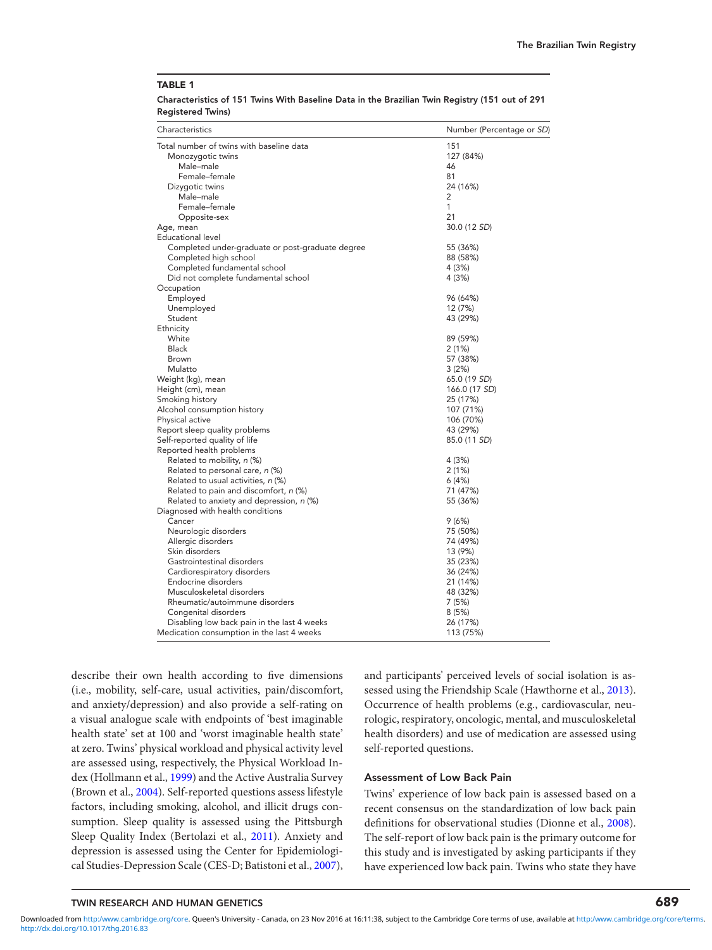<span id="page-2-0"></span>**Characteristics of 151 Twins With Baseline Data in the Brazilian Twin Registry (151 out of 291 Registered Twins)**

| Characteristics                                  | Number (Percentage or SD) |
|--------------------------------------------------|---------------------------|
| Total number of twins with baseline data         | 151                       |
| Monozygotic twins                                | 127 (84%)                 |
| Male-male                                        | 46                        |
| Female-female                                    | 81                        |
| Dizygotic twins                                  | 24 (16%)                  |
| Male-male                                        | 2                         |
| Female-female                                    | 1                         |
| Opposite-sex                                     | 21                        |
| Age, mean                                        | 30.0 (12 SD)              |
| Educational level                                |                           |
| Completed under-graduate or post-graduate degree | 55 (36%)                  |
| Completed high school                            | 88 (58%)                  |
| Completed fundamental school                     | 4 (3%)                    |
| Did not complete fundamental school              | 4 (3%)                    |
| Occupation                                       |                           |
| Employed                                         | 96 (64%)                  |
| Unemployed                                       | 12 (7%)                   |
| Student                                          | 43 (29%)                  |
| Ethnicity<br>White                               |                           |
| Black                                            | 89 (59%)                  |
| Brown                                            | 2(1%)<br>57 (38%)         |
| Mulatto                                          |                           |
|                                                  | 3(2%)<br>65.0 (19 SD)     |
| Weight (kg), mean<br>Height (cm), mean           | 166.0 (17 SD)             |
| Smoking history                                  | 25 (17%)                  |
| Alcohol consumption history                      | 107 (71%)                 |
| Physical active                                  | 106 (70%)                 |
| Report sleep quality problems                    | 43 (29%)                  |
| Self-reported quality of life                    | 85.0 (11 SD)              |
| Reported health problems                         |                           |
| Related to mobility, n (%)                       | 4 (3%)                    |
| Related to personal care, n (%)                  | 2(1%)                     |
| Related to usual activities, n (%)               | 6(4%)                     |
| Related to pain and discomfort, n (%)            | 71 (47%)                  |
| Related to anxiety and depression, n (%)         | 55 (36%)                  |
| Diagnosed with health conditions                 |                           |
| Cancer                                           | 9(6%)                     |
| Neurologic disorders                             | 75 (50%)                  |
| Allergic disorders                               | 74 (49%)                  |
| Skin disorders                                   | 13 (9%)                   |
| Gastrointestinal disorders                       | 35 (23%)                  |
| Cardiorespiratory disorders                      | 36 (24%)                  |
| Endocrine disorders                              | 21 (14%)                  |
| Musculoskeletal disorders                        | 48 (32%)                  |
| Rheumatic/autoimmune disorders                   | 7 (5%)                    |
| Congenital disorders                             | 8(5%)                     |
| Disabling low back pain in the last 4 weeks      | 26 (17%)                  |
| Medication consumption in the last 4 weeks       | 113 (75%)                 |

describe their own health according to five dimensions (i.e., mobility, self-care, usual activities, pain/discomfort, and anxiety/depression) and also provide a self-rating on a visual analogue scale with endpoints of 'best imaginable health state' set at 100 and 'worst imaginable health state' at zero. Twins' physical workload and physical activity level are assessed using, respectively, the Physical Workload Index (Hollmann et al., [1999\)](#page-4-0) and the Active Australia Survey (Brown et al., [2004\)](#page-4-0). Self-reported questions assess lifestyle factors, including smoking, alcohol, and illicit drugs consumption. Sleep quality is assessed using the Pittsburgh Sleep Quality Index (Bertolazi et al., [2011\)](#page-4-0). Anxiety and depression is assessed using the Center for Epidemiological Studies-Depression Scale (CES-D; Batistoni et al., [2007\)](#page-4-0), and participants' perceived levels of social isolation is assessed using the Friendship Scale (Hawthorne et al., [2013\)](#page-4-0). Occurrence of health problems (e.g., cardiovascular, neurologic, respiratory, oncologic, mental, and musculoskeletal health disorders) and use of medication are assessed using self-reported questions.

#### **Assessment of Low Back Pain**

Twins' experience of low back pain is assessed based on a recent consensus on the standardization of low back pain definitions for observational studies (Dionne et al., [2008\)](#page-4-0). The self-report of low back pain is the primary outcome for this study and is investigated by asking participants if they have experienced low back pain. Twins who state they have

# **TWIN RESEARCH AND HUMAN GENETICS 689**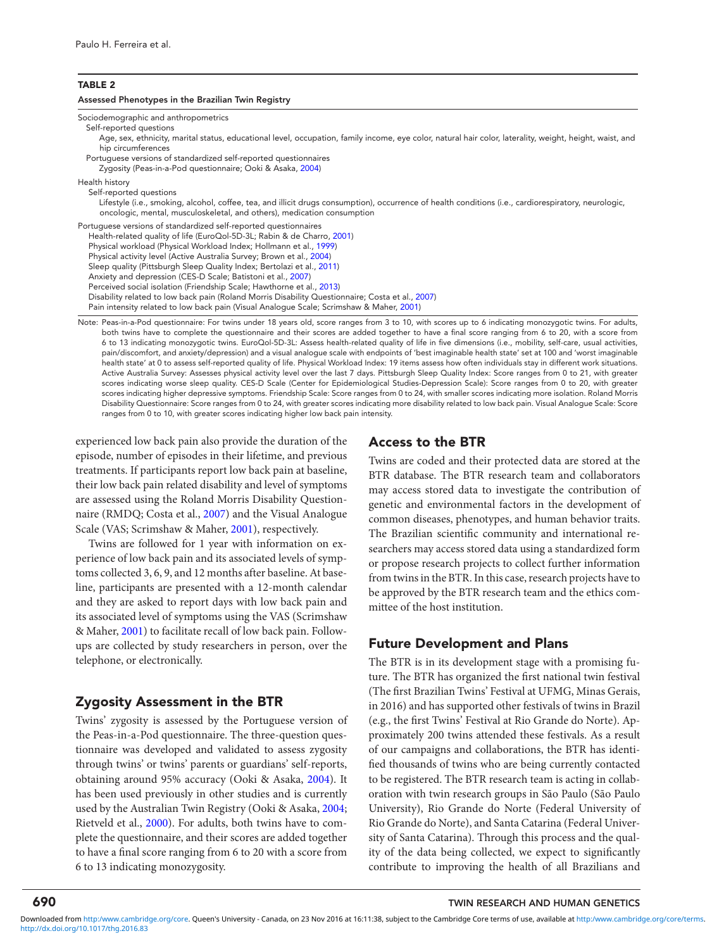#### <span id="page-3-0"></span>**TABLE 2**

#### **Assessed Phenotypes in the Brazilian Twin Registry**

Sociodemographic and anthropometrics

Self-reported questions

Age, sex, ethnicity, marital status, educational level, occupation, family income, eye color, natural hair color, laterality, weight, height, waist, and hip circumferences

Portuguese versions of standardized self-reported questionnaires

Zygosity (Peas-in-a-Pod questionnaire; Ooki & Asaka, [2004\)](#page-4-0)

Health history

Self-reported questions

Lifestyle (i.e., smoking, alcohol, coffee, tea, and illicit drugs consumption), occurrence of health conditions (i.e., cardiorespiratory, neurologic, oncologic, mental, musculoskeletal, and others), medication consumption

Portuguese versions of standardized self-reported questionnaires Health-related quality of life (EuroQol-5D-3L; Rabin & de Charro, [2001\)](#page-4-0) Physical workload (Physical Workload Index; Hollmann et al., [1999\)](#page-4-0) Physical activity level (Active Australia Survey; Brown et al., [2004\)](#page-4-0) Sleep quality (Pittsburgh Sleep Quality Index; Bertolazi et al., [2011\)](#page-4-0) Anxiety and depression (CES-D Scale; Batistoni et al., [2007\)](#page-4-0) Perceived social isolation (Friendship Scale; Hawthorne et al., [2013\)](#page-4-0) Disability related to low back pain (Roland Morris Disability Questionnaire; Costa et al., [2007\)](#page-4-0) Pain intensity related to low back pain (Visual Analogue Scale; Scrimshaw & Maher, [2001\)](#page-4-0)

Note: Peas-in-a-Pod questionnaire: For twins under 18 years old, score ranges from 3 to 10, with scores up to 6 indicating monozygotic twins. For adults, both twins have to complete the questionnaire and their scores are added together to have a final score ranging from 6 to 20, with a score from 6 to 13 indicating monozygotic twins. EuroQol-5D-3L: Assess health-related quality of life in five dimensions (i.e., mobility, self-care, usual activities, pain/discomfort, and anxiety/depression) and a visual analogue scale with endpoints of 'best imaginable health state' set at 100 and 'worst imaginable health state' at 0 to assess self-reported quality of life. Physical Workload Index: 19 items assess how often individuals stay in different work situations. Active Australia Survey: Assesses physical activity level over the last 7 days. Pittsburgh Sleep Quality Index: Score ranges from 0 to 21, with greater scores indicating worse sleep quality. CES-D Scale (Center for Epidemiological Studies-Depression Scale): Score ranges from 0 to 20, with greater scores indicating higher depressive symptoms. Friendship Scale: Score ranges from 0 to 24, with smaller scores indicating more isolation. Roland Morris Disability Questionnaire: Score ranges from 0 to 24, with greater scores indicating more disability related to low back pain. Visual Analogue Scale: Score ranges from 0 to 10, with greater scores indicating higher low back pain intensity.

experienced low back pain also provide the duration of the episode, number of episodes in their lifetime, and previous treatments. If participants report low back pain at baseline, their low back pain related disability and level of symptoms are assessed using the Roland Morris Disability Questionnaire (RMDQ; Costa et al., [2007\)](#page-4-0) and the Visual Analogue Scale (VAS; Scrimshaw & Maher, [2001\)](#page-4-0), respectively.

Twins are followed for 1 year with information on experience of low back pain and its associated levels of symptoms collected 3, 6, 9, and 12 months after baseline. At baseline, participants are presented with a 12-month calendar and they are asked to report days with low back pain and its associated level of symptoms using the VAS (Scrimshaw & Maher, [2001\)](#page-4-0) to facilitate recall of low back pain. Followups are collected by study researchers in person, over the telephone, or electronically.

# **Zygosity Assessment in the BTR**

Twins' zygosity is assessed by the Portuguese version of the Peas-in-a-Pod questionnaire. The three-question questionnaire was developed and validated to assess zygosity through twins' or twins' parents or guardians' self-reports, obtaining around 95% accuracy (Ooki & Asaka, [2004\)](#page-4-0). It has been used previously in other studies and is currently used by the Australian Twin Registry (Ooki & Asaka, [2004;](#page-4-0) Rietveld et al., [2000\)](#page-4-0). For adults, both twins have to complete the questionnaire, and their scores are added together to have a final score ranging from 6 to 20 with a score from 6 to 13 indicating monozygosity.

# **Access to the BTR**

Twins are coded and their protected data are stored at the BTR database. The BTR research team and collaborators may access stored data to investigate the contribution of genetic and environmental factors in the development of common diseases, phenotypes, and human behavior traits. The Brazilian scientific community and international researchers may access stored data using a standardized form or propose research projects to collect further information from twins in the BTR. In this case, research projects have to be approved by the BTR research team and the ethics committee of the host institution.

## **Future Development and Plans**

The BTR is in its development stage with a promising future. The BTR has organized the first national twin festival (The first Brazilian Twins' Festival at UFMG, Minas Gerais, in 2016) and has supported other festivals of twins in Brazil (e.g., the first Twins' Festival at Rio Grande do Norte). Approximately 200 twins attended these festivals. As a result of our campaigns and collaborations, the BTR has identified thousands of twins who are being currently contacted to be registered. The BTR research team is acting in collaboration with twin research groups in São Paulo (São Paulo University), Rio Grande do Norte (Federal University of Rio Grande do Norte), and Santa Catarina (Federal University of Santa Catarina). Through this process and the quality of the data being collected, we expect to significantly contribute to improving the health of all Brazilians and